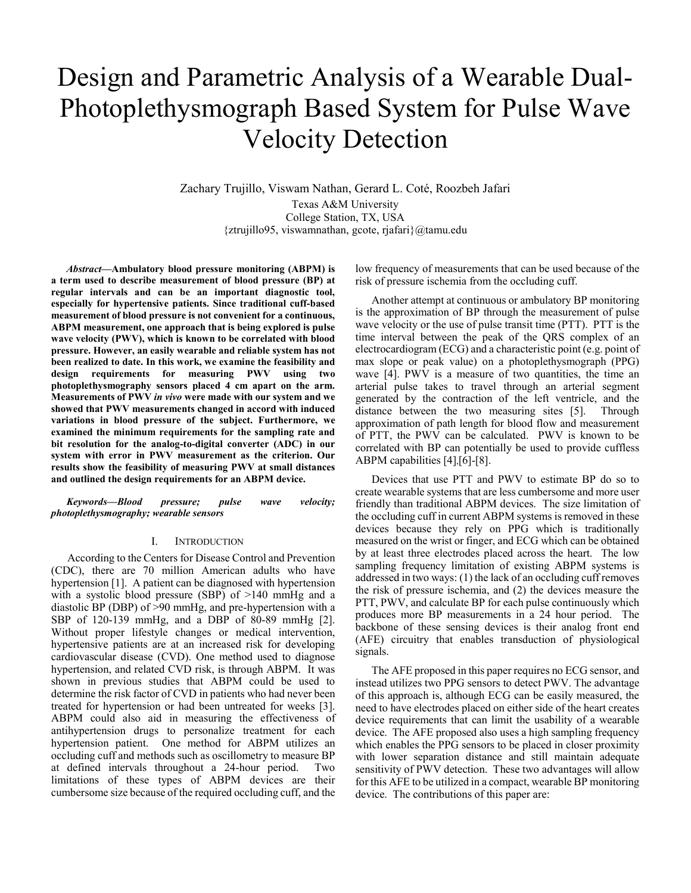# Design and Parametric Analysis of a Wearable Dual-Photoplethysmograph Based System for Pulse Wave Velocity Detection

Zachary Trujillo, Viswam Nathan, Gerard L. Coté, Roozbeh Jafari Texas A&M University College Station, TX, USA {ztrujillo95, viswamnathan, gcote, rjafari}@tamu.edu

*Abstract***—Ambulatory blood pressure monitoring (ABPM) is a term used to describe measurement of blood pressure (BP) at regular intervals and can be an important diagnostic tool, especially for hypertensive patients. Since traditional cuff-based measurement of blood pressure is not convenient for a continuous, ABPM measurement, one approach that is being explored is pulse wave velocity (PWV), which is known to be correlated with blood pressure. However, an easily wearable and reliable system has not been realized to date. In this work, we examine the feasibility and design requirements for measuring PWV using two photoplethysmography sensors placed 4 cm apart on the arm. Measurements of PWV** *in vivo* **were made with our system and we showed that PWV measurements changed in accord with induced variations in blood pressure of the subject. Furthermore, we examined the minimum requirements for the sampling rate and bit resolution for the analog-to-digital converter (ADC) in our system with error in PWV measurement as the criterion. Our results show the feasibility of measuring PWV at small distances and outlined the design requirements for an ABPM device.**

## *Keywords—Blood pressure; pulse wave velocity; photoplethysmography; wearable sensors*

#### I. INTRODUCTION

According to the Centers for Disease Control and Prevention (CDC), there are 70 million American adults who have hypertension [1]. A patient can be diagnosed with hypertension with a systolic blood pressure (SBP) of >140 mmHg and a diastolic BP (DBP) of >90 mmHg, and pre-hypertension with a SBP of 120-139 mmHg, and a DBP of 80-89 mmHg [2]. Without proper lifestyle changes or medical intervention, hypertensive patients are at an increased risk for developing cardiovascular disease (CVD). One method used to diagnose hypertension, and related CVD risk, is through ABPM. It was shown in previous studies that ABPM could be used to determine the risk factor of CVD in patients who had never been treated for hypertension or had been untreated for weeks [3]. ABPM could also aid in measuring the effectiveness of antihypertension drugs to personalize treatment for each hypertension patient. One method for ABPM utilizes an occluding cuff and methods such as oscillometry to measure BP at defined intervals throughout a 24-hour period. Two limitations of these types of ABPM devices are their cumbersome size because of the required occluding cuff, and the

low frequency of measurements that can be used because of the risk of pressure ischemia from the occluding cuff.

Another attempt at continuous or ambulatory BP monitoring is the approximation of BP through the measurement of pulse wave velocity or the use of pulse transit time (PTT). PTT is the time interval between the peak of the QRS complex of an electrocardiogram (ECG) and a characteristic point (e.g. point of max slope or peak value) on a photoplethysmograph (PPG) wave [4]. PWV is a measure of two quantities, the time an arterial pulse takes to travel through an arterial segment generated by the contraction of the left ventricle, and the distance between the two measuring sites [5]. Through approximation of path length for blood flow and measurement of PTT, the PWV can be calculated. PWV is known to be correlated with BP can potentially be used to provide cuffless ABPM capabilities [4],[6]-[8].

Devices that use PTT and PWV to estimate BP do so to create wearable systems that are less cumbersome and more user friendly than traditional ABPM devices. The size limitation of the occluding cuff in current ABPM systems is removed in these devices because they rely on PPG which is traditionally measured on the wrist or finger, and ECG which can be obtained by at least three electrodes placed across the heart. The low sampling frequency limitation of existing ABPM systems is addressed in two ways: (1) the lack of an occluding cuff removes the risk of pressure ischemia, and (2) the devices measure the PTT, PWV, and calculate BP for each pulse continuously which produces more BP measurements in a 24 hour period. The backbone of these sensing devices is their analog front end (AFE) circuitry that enables transduction of physiological signals.

The AFE proposed in this paper requires no ECG sensor, and instead utilizes two PPG sensors to detect PWV. The advantage of this approach is, although ECG can be easily measured, the need to have electrodes placed on either side of the heart creates device requirements that can limit the usability of a wearable device. The AFE proposed also uses a high sampling frequency which enables the PPG sensors to be placed in closer proximity with lower separation distance and still maintain adequate sensitivity of PWV detection. These two advantages will allow for this AFE to be utilized in a compact, wearable BP monitoring device. The contributions of this paper are: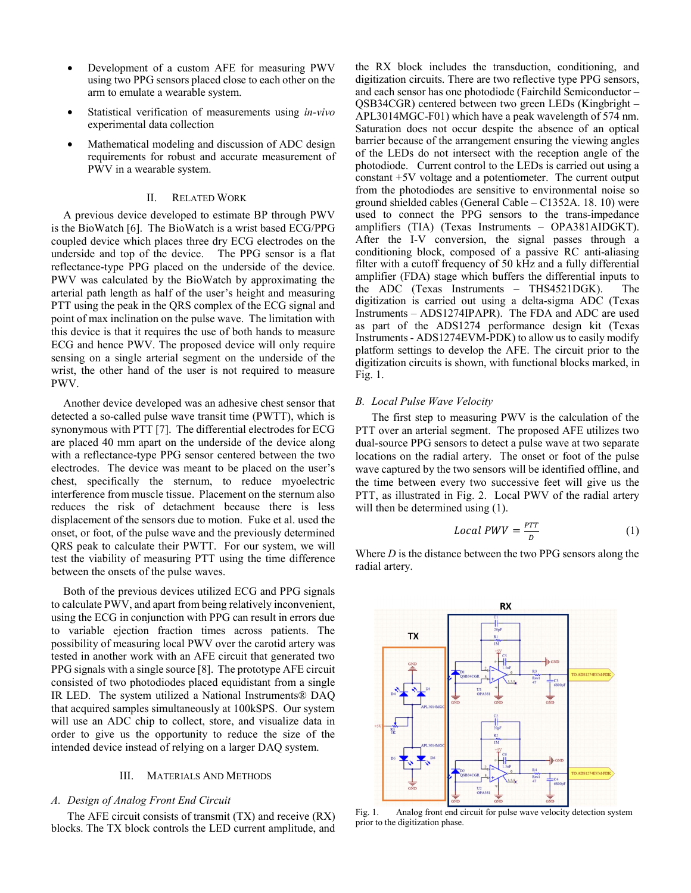- Development of a custom AFE for measuring PWV using two PPG sensors placed close to each other on the arm to emulate a wearable system.
- Statistical verification of measurements using *in-vivo* experimental data collection
- Mathematical modeling and discussion of ADC design requirements for robust and accurate measurement of PWV in a wearable system.

## II. RELATED WORK

A previous device developed to estimate BP through PWV is the BioWatch [6]. The BioWatch is a wrist based ECG/PPG coupled device which places three dry ECG electrodes on the underside and top of the device. The PPG sensor is a flat reflectance-type PPG placed on the underside of the device. PWV was calculated by the BioWatch by approximating the arterial path length as half of the user's height and measuring PTT using the peak in the QRS complex of the ECG signal and point of max inclination on the pulse wave. The limitation with this device is that it requires the use of both hands to measure ECG and hence PWV. The proposed device will only require sensing on a single arterial segment on the underside of the wrist, the other hand of the user is not required to measure PWV.

Another device developed was an adhesive chest sensor that detected a so-called pulse wave transit time (PWTT), which is synonymous with PTT [7]. The differential electrodes for ECG are placed 40 mm apart on the underside of the device along with a reflectance-type PPG sensor centered between the two electrodes. The device was meant to be placed on the user's chest, specifically the sternum, to reduce myoelectric interference from muscle tissue. Placement on the sternum also reduces the risk of detachment because there is less displacement of the sensors due to motion. Fuke et al. used the onset, or foot, of the pulse wave and the previously determined QRS peak to calculate their PWTT. For our system, we will test the viability of measuring PTT using the time difference between the onsets of the pulse waves.

Both of the previous devices utilized ECG and PPG signals to calculate PWV, and apart from being relatively inconvenient, using the ECG in conjunction with PPG can result in errors due to variable ejection fraction times across patients. The possibility of measuring local PWV over the carotid artery was tested in another work with an AFE circuit that generated two PPG signals with a single source [8]. The prototype AFE circuit consisted of two photodiodes placed equidistant from a single IR LED. The system utilized a National Instruments® DAQ that acquired samples simultaneously at 100kSPS. Our system will use an ADC chip to collect, store, and visualize data in order to give us the opportunity to reduce the size of the intended device instead of relying on a larger DAQ system.

#### III. MATERIALS AND METHODS

# *A. Design of Analog Front End Circuit*

The AFE circuit consists of transmit (TX) and receive (RX) blocks. The TX block controls the LED current amplitude, and the RX block includes the transduction, conditioning, and digitization circuits. There are two reflective type PPG sensors, and each sensor has one photodiode (Fairchild Semiconductor – QSB34CGR) centered between two green LEDs (Kingbright – APL3014MGC-F01) which have a peak wavelength of 574 nm. Saturation does not occur despite the absence of an optical barrier because of the arrangement ensuring the viewing angles of the LEDs do not intersect with the reception angle of the photodiode. Current control to the LEDs is carried out using a constant +5V voltage and a potentiometer. The current output from the photodiodes are sensitive to environmental noise so ground shielded cables (General Cable – C1352A. 18. 10) were used to connect the PPG sensors to the trans-impedance amplifiers (TIA) (Texas Instruments – OPA381AIDGKT). After the I-V conversion, the signal passes through a conditioning block, composed of a passive RC anti-aliasing filter with a cutoff frequency of 50 kHz and a fully differential amplifier (FDA) stage which buffers the differential inputs to the ADC (Texas Instruments – THS4521DGK). The digitization is carried out using a delta-sigma ADC (Texas Instruments – ADS1274IPAPR). The FDA and ADC are used as part of the ADS1274 performance design kit (Texas Instruments - ADS1274EVM-PDK) to allow us to easily modify platform settings to develop the AFE. The circuit prior to the digitization circuits is shown, with functional blocks marked, in Fig. 1.

## *B. Local Pulse Wave Velocity*

The first step to measuring PWV is the calculation of the PTT over an arterial segment. The proposed AFE utilizes two dual-source PPG sensors to detect a pulse wave at two separate locations on the radial artery. The onset or foot of the pulse wave captured by the two sensors will be identified offline, and the time between every two successive feet will give us the PTT, as illustrated in Fig. 2. Local PWV of the radial artery will then be determined using  $(1)$ .

$$
Local PWV = \frac{PTT}{D} \tag{1}
$$

Where *D* is the distance between the two PPG sensors along the radial artery.



Fig. 1. Analog front end circuit for pulse wave velocity detection system prior to the digitization phase.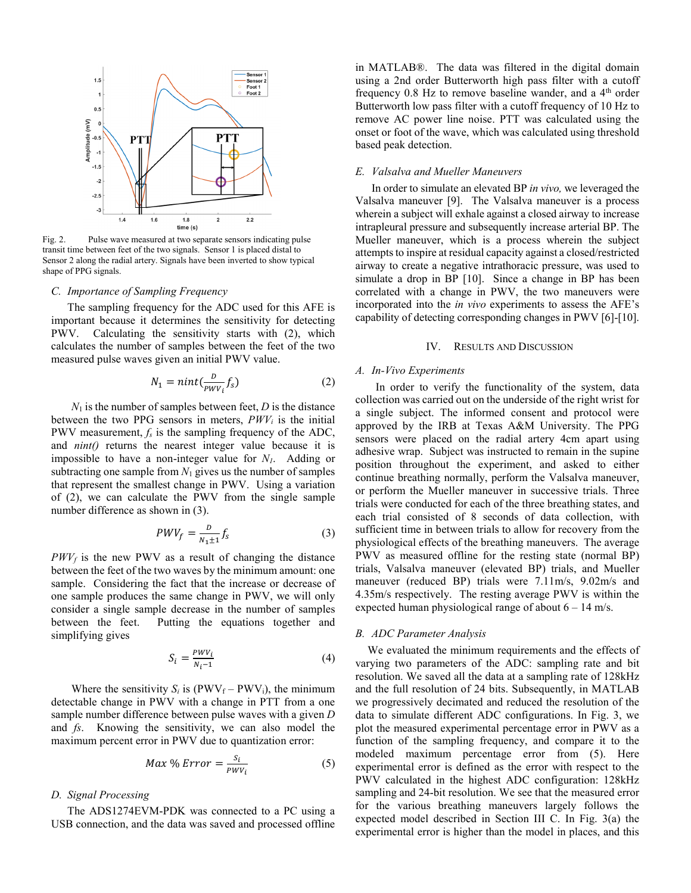

Fig. 2. Pulse wave measured at two separate sensors indicating pulse transit time between feet of the two signals. Sensor 1 is placed distal to Sensor 2 along the radial artery. Signals have been inverted to show typical shape of PPG signals.

## *C. Importance of Sampling Frequency*

The sampling frequency for the ADC used for this AFE is important because it determines the sensitivity for detecting PWV. Calculating the sensitivity starts with (2), which calculates the number of samples between the feet of the two measured pulse waves given an initial PWV value.

$$
N_1 = nint(\frac{D}{pWV_i}f_s)
$$
 (2)

*N*<sup>1</sup> is the number of samples between feet, *D* is the distance between the two PPG sensors in meters,  $PWV_i$  is the initial PWV measurement,  $f_s$  is the sampling frequency of the ADC, and *nint()* returns the nearest integer value because it is impossible to have a non-integer value for  $N_l$ . Adding or subtracting one sample from  $N_1$  gives us the number of samples that represent the smallest change in PWV. Using a variation of (2), we can calculate the PWV from the single sample number difference as shown in (3).

$$
PWV_f = \frac{D}{N_1 \pm 1} f_s \tag{3}
$$

 $PWV_f$  is the new PWV as a result of changing the distance between the feet of the two waves by the minimum amount: one sample. Considering the fact that the increase or decrease of one sample produces the same change in PWV, we will only consider a single sample decrease in the number of samples between the feet. Putting the equations together and simplifying gives

$$
S_i = \frac{PWV_i}{N_i - 1} \tag{4}
$$

Where the sensitivity  $S_i$  is (PWV<sub>f</sub> – PWV<sub>i</sub>), the minimum detectable change in PWV with a change in PTT from a one sample number difference between pulse waves with a given *D*  and *fs*. Knowing the sensitivity, we can also model the maximum percent error in PWV due to quantization error:

$$
Max\% Error = \frac{s_i}{\text{pWV}_i} \tag{5}
$$

# *D. Signal Processing*

The ADS1274EVM-PDK was connected to a PC using a USB connection, and the data was saved and processed offline in MATLAB®. The data was filtered in the digital domain using a 2nd order Butterworth high pass filter with a cutoff frequency 0.8 Hz to remove baseline wander, and a 4<sup>th</sup> order Butterworth low pass filter with a cutoff frequency of 10 Hz to remove AC power line noise. PTT was calculated using the onset or foot of the wave, which was calculated using threshold based peak detection.

## *E. Valsalva and Mueller Maneuvers*

In order to simulate an elevated BP *in vivo,* we leveraged the Valsalva maneuver [9]. The Valsalva maneuver is a process wherein a subject will exhale against a closed airway to increase intrapleural pressure and subsequently increase arterial BP. The Mueller maneuver, which is a process wherein the subject attempts to inspire at residual capacity against a closed/restricted airway to create a negative intrathoracic pressure, was used to simulate a drop in BP [10]. Since a change in BP has been correlated with a change in PWV, the two maneuvers were incorporated into the *in vivo* experiments to assess the AFE's capability of detecting corresponding changes in PWV [6]-[10].

### IV. RESULTS AND DISCUSSION

#### *A. In-Vivo Experiments*

In order to verify the functionality of the system, data collection was carried out on the underside of the right wrist for a single subject. The informed consent and protocol were approved by the IRB at Texas A&M University. The PPG sensors were placed on the radial artery 4cm apart using adhesive wrap. Subject was instructed to remain in the supine position throughout the experiment, and asked to either continue breathing normally, perform the Valsalva maneuver, or perform the Mueller maneuver in successive trials. Three trials were conducted for each of the three breathing states, and each trial consisted of 8 seconds of data collection, with sufficient time in between trials to allow for recovery from the physiological effects of the breathing maneuvers. The average PWV as measured offline for the resting state (normal BP) trials, Valsalva maneuver (elevated BP) trials, and Mueller maneuver (reduced BP) trials were 7.11m/s, 9.02m/s and 4.35m/s respectively. The resting average PWV is within the expected human physiological range of about  $6 - 14$  m/s.

# *B. ADC Parameter Analysis*

We evaluated the minimum requirements and the effects of varying two parameters of the ADC: sampling rate and bit resolution. We saved all the data at a sampling rate of 128kHz and the full resolution of 24 bits. Subsequently, in MATLAB we progressively decimated and reduced the resolution of the data to simulate different ADC configurations. In Fig. 3, we plot the measured experimental percentage error in PWV as a function of the sampling frequency, and compare it to the modeled maximum percentage error from (5). Here experimental error is defined as the error with respect to the PWV calculated in the highest ADC configuration: 128kHz sampling and 24-bit resolution. We see that the measured error for the various breathing maneuvers largely follows the expected model described in Section III C. In Fig. 3(a) the experimental error is higher than the model in places, and this